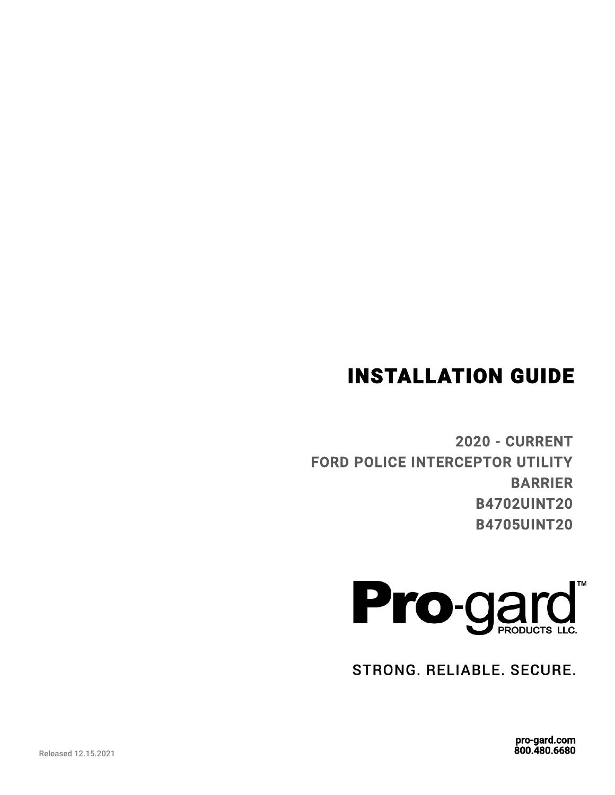# INSTALLATION GUIDE

2020 - CURRENT FORD POLICE INTERCEPTOR UTILITY BARRIER B4702UINT20 B4705UINT20



STRONG. RELIABLE. SECURE.

pro-gard.com 800.480.6680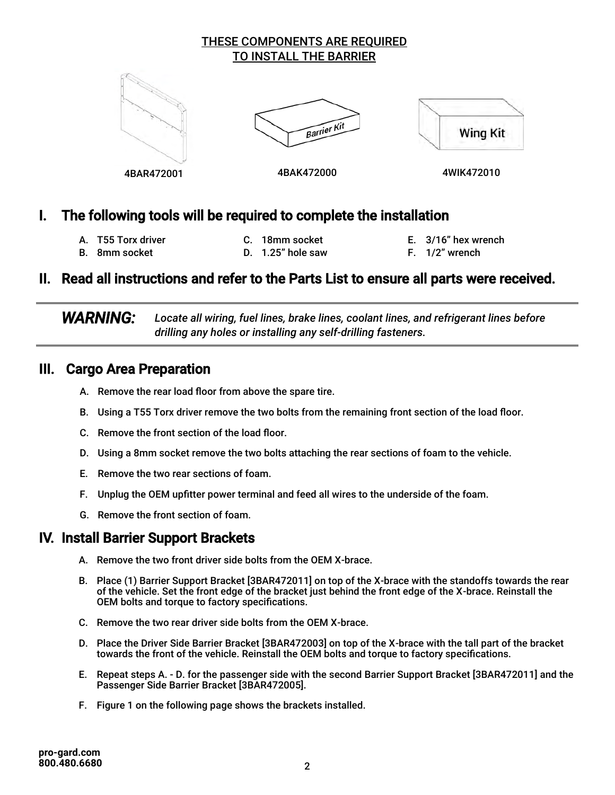#### THESE COMPONENTS ARE REQUIRED TO INSTALL THE BARRIER



## I. The following tools will be required to complete the installation

- A. T55 Torx driver B. 8mm socket
- C. 18mm socket D. 1.25" hole saw
- E. 3/16" hex wrench F. 1/2" wrench
- II. Read all instructions and refer to the Parts List to ensure all parts were received.

 *WARNING: Locate all wiring, fuel lines, brake lines, coolant lines, and refrigerant lines before drilling any holes or installing any self-drilling fasteners.*

### III. Cargo Area Preparation

- A. Remove the rear load floor from above the spare tire.
- B. Using a T55 Torx driver remove the two bolts from the remaining front section of the load floor.
- C. Remove the front section of the load floor.
- D. Using a 8mm socket remove the two bolts attaching the rear sections of foam to the vehicle.
- E. Remove the two rear sections of foam.
- F. Unplug the OEM upfitter power terminal and feed all wires to the underside of the foam.
- G. Remove the front section of foam.

## IV. Install Barrier Support Brackets

- A. Remove the two front driver side bolts from the OEM X-brace.
- B. Place (1) Barrier Support Bracket [3BAR472011] on top of the X-brace with the standoffs towards the rear of the vehicle. Set the front edge of the bracket just behind the front edge of the X-brace. Reinstall the OEM bolts and torque to factory specifications.
- C. Remove the two rear driver side bolts from the OEM X-brace.
- D. Place the Driver Side Barrier Bracket [3BAR472003] on top of the X-brace with the tall part of the bracket towards the front of the vehicle. Reinstall the OEM bolts and torque to factory specifications.
- E. Repeat steps A. D. for the passenger side with the second Barrier Support Bracket [3BAR472011] and the Passenger Side Barrier Bracket [3BAR472005].
- F. Figure 1 on the following page shows the brackets installed.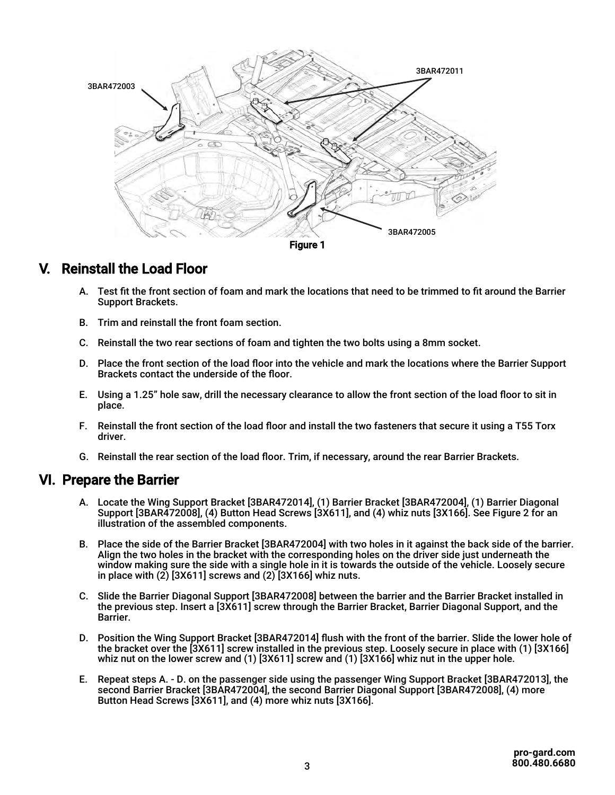

## V. Reinstall the Load Floor

- A. Test fit the front section of foam and mark the locations that need to be trimmed to fit around the Barrier Support Brackets.
- B. Trim and reinstall the front foam section.
- C. Reinstall the two rear sections of foam and tighten the two bolts using a 8mm socket.
- D. Place the front section of the load floor into the vehicle and mark the locations where the Barrier Support Brackets contact the underside of the floor.
- E. Using a 1.25" hole saw, drill the necessary clearance to allow the front section of the load floor to sit in place.
- F. Reinstall the front section of the load floor and install the two fasteners that secure it using a T55 Torx driver.
- G. Reinstall the rear section of the load floor. Trim, if necessary, around the rear Barrier Brackets.

#### VI. Prepare the Barrier

- A. Locate the Wing Support Bracket [3BAR472014], (1) Barrier Bracket [3BAR472004], (1) Barrier Diagonal Support [3BAR472008], (4) Button Head Screws [3X611], and (4) whiz nuts [3X166]. See Figure 2 for an illustration of the assembled components.
- B. Place the side of the Barrier Bracket [3BAR472004] with two holes in it against the back side of the barrier. Align the two holes in the bracket with the corresponding holes on the driver side just underneath the window making sure the side with a single hole in it is towards the outside of the vehicle. Loosely secure in place with  $(2)$  [3X611] screws and  $(2)$  [3X166] whiz nuts.
- C. Slide the Barrier Diagonal Support [3BAR472008] between the barrier and the Barrier Bracket installed in the previous step. Insert a [3X611] screw through the Barrier Bracket, Barrier Diagonal Support, and the Barrier.
- D. Position the Wing Support Bracket [3BAR472014] flush with the front of the barrier. Slide the lower hole of the bracket over the [3X611] screw installed in the previous step. Loosely secure in place with (1) [3X166] whiz nut on the lower screw and (1) [3X611] screw and (1) [3X166] whiz nut in the upper hole.
- E. Repeat steps A. D. on the passenger side using the passenger Wing Support Bracket [3BAR472013], the second Barrier Bracket [3BAR472004], the second Barrier Diagonal Support [3BAR472008], (4) more Button Head Screws [3X611], and (4) more whiz nuts [3X166].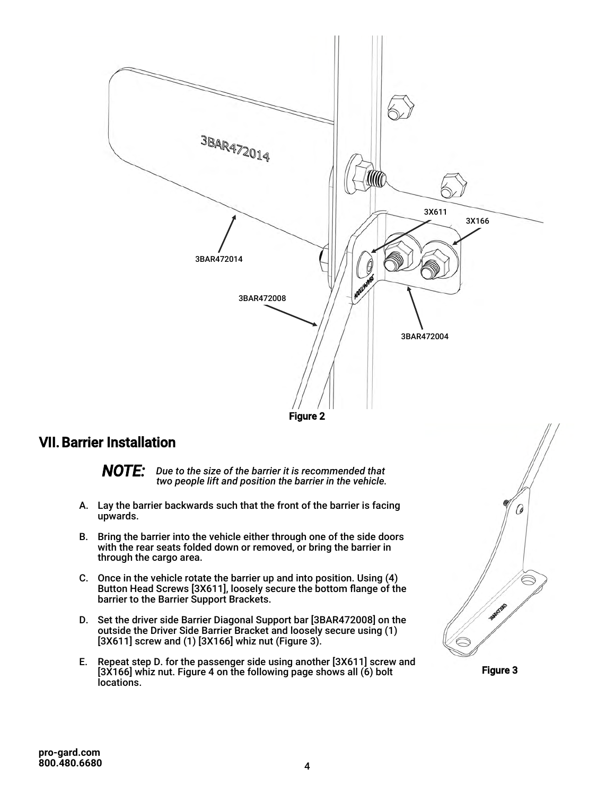



## VII. Barrier Installation

*NOTE: Due to the size of the barrier it is recommended that two people lift and position the barrier in the vehicle.* 

- A. Lay the barrier backwards such that the front of the barrier is facing upwards.
- B. Bring the barrier into the vehicle either through one of the side doors with the rear seats folded down or removed, or bring the barrier in through the cargo area.
- C. Once in the vehicle rotate the barrier up and into position. Using (4) Button Head Screws [3X611], loosely secure the bottom flange of the barrier to the Barrier Support Brackets.
- D. Set the driver side Barrier Diagonal Support bar [3BAR472008] on the outside the Driver Side Barrier Bracket and loosely secure using (1) [3X611] screw and (1) [3X166] whiz nut (Figure 3).
- E. Repeat step D. for the passenger side using another [3X611] screw and [3X166] whiz nut. Figure 4 on the following page shows all (6) bolt locations.



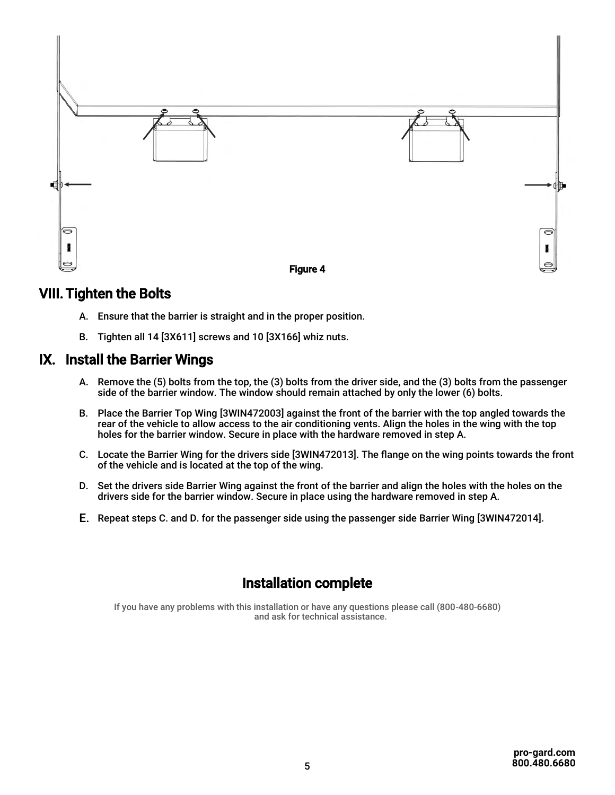

## VIII. Tighten the Bolts

- A. Ensure that the barrier is straight and in the proper position.
- B. Tighten all 14 [3X611] screws and 10 [3X166] whiz nuts.

#### IX. Install the Barrier Wings

- A. Remove the (5) bolts from the top, the (3) bolts from the driver side, and the (3) bolts from the passenger side of the barrier window. The window should remain attached by only the lower (6) bolts.
- B. Place the Barrier Top Wing [3WIN472003] against the front of the barrier with the top angled towards the rear of the vehicle to allow access to the air conditioning vents. Align the holes in the wing with the top holes for the barrier window. Secure in place with the hardware removed in step A.
- C. Locate the Barrier Wing for the drivers side [3WIN472013]. The flange on the wing points towards the front of the vehicle and is located at the top of the wing.
- D. Set the drivers side Barrier Wing against the front of the barrier and align the holes with the holes on the drivers side for the barrier window. Secure in place using the hardware removed in step A.
- E. Repeat steps C. and D. for the passenger side using the passenger side Barrier Wing [3WIN472014].

## Installation complete

If you have any problems with this installation or have any questions please call (800-480-6680) and ask for technical assistance.